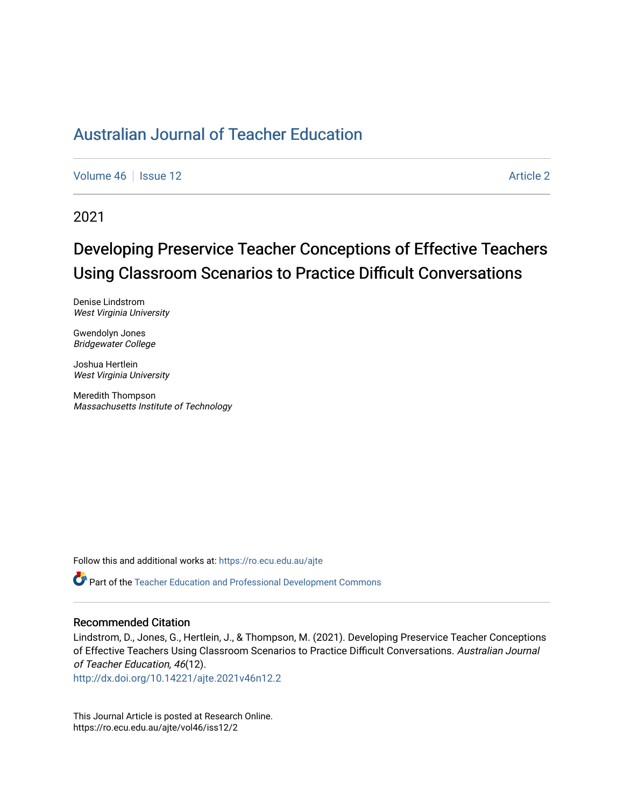# [Australian Journal of Teacher Education](https://ro.ecu.edu.au/ajte)

[Volume 46](https://ro.ecu.edu.au/ajte/vol46) | [Issue 12](https://ro.ecu.edu.au/ajte/vol46/iss12) Article 2

2021

# Developing Preservice Teacher Conceptions of Effective Teachers Using Classroom Scenarios to Practice Difficult Conversations

Denise Lindstrom West Virginia University

Gwendolyn Jones Bridgewater College

Joshua Hertlein West Virginia University

Meredith Thompson Massachusetts Institute of Technology

Follow this and additional works at: [https://ro.ecu.edu.au/ajte](https://ro.ecu.edu.au/ajte?utm_source=ro.ecu.edu.au%2Fajte%2Fvol46%2Fiss12%2F2&utm_medium=PDF&utm_campaign=PDFCoverPages) 

Part of the [Teacher Education and Professional Development Commons](http://network.bepress.com/hgg/discipline/803?utm_source=ro.ecu.edu.au%2Fajte%2Fvol46%2Fiss12%2F2&utm_medium=PDF&utm_campaign=PDFCoverPages)

#### Recommended Citation

Lindstrom, D., Jones, G., Hertlein, J., & Thompson, M. (2021). Developing Preservice Teacher Conceptions of Effective Teachers Using Classroom Scenarios to Practice Difficult Conversations. Australian Journal of Teacher Education, 46(12).

<http://dx.doi.org/10.14221/ajte.2021v46n12.2>

This Journal Article is posted at Research Online. https://ro.ecu.edu.au/ajte/vol46/iss12/2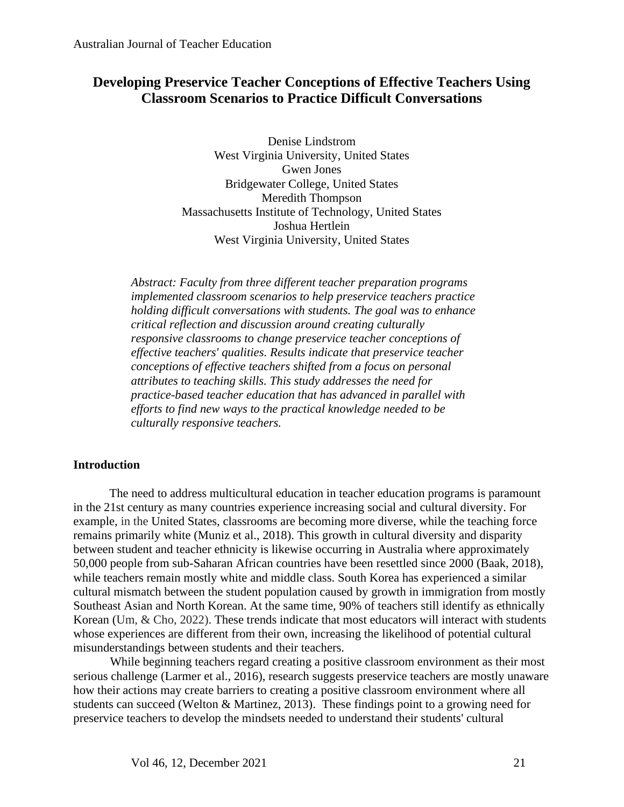## **Developing Preservice Teacher Conceptions of Effective Teachers Using Classroom Scenarios to Practice Difficult Conversations**

Denise Lindstrom West Virginia University, United States Gwen Jones Bridgewater College, United States Meredith Thompson Massachusetts Institute of Technology, United States Joshua Hertlein West Virginia University, United States

*Abstract: Faculty from three different teacher preparation programs implemented classroom scenarios to help preservice teachers practice holding difficult conversations with students. The goal was to enhance critical reflection and discussion around creating culturally responsive classrooms to change preservice teacher conceptions of effective teachers' qualities. Results indicate that preservice teacher conceptions of effective teachers shifted from a focus on personal attributes to teaching skills. This study addresses the need for practice-based teacher education that has advanced in parallel with efforts to find new ways to the practical knowledge needed to be culturally responsive teachers.*

### **Introduction**

The need to address multicultural education in teacher education programs is paramount in the 21st century as many countries experience increasing social and cultural diversity. For example, in the United States, classrooms are becoming more diverse, while the teaching force remains primarily white (Muniz et al., 2018). This growth in cultural diversity and disparity between student and teacher ethnicity is likewise occurring in Australia where approximately 50,000 people from sub-Saharan African countries have been resettled since 2000 (Baak, 2018), while teachers remain mostly white and middle class. South Korea has experienced a similar cultural mismatch between the student population caused by growth in immigration from mostly Southeast Asian and North Korean. At the same time, 90% of teachers still identify as ethnically Korean (Um, & Cho, 2022). These trends indicate that most educators will interact with students whose experiences are different from their own, increasing the likelihood of potential cultural misunderstandings between students and their teachers.

While beginning teachers regard creating a positive classroom environment as their most serious challenge (Larmer et al., 2016), research suggests preservice teachers are mostly unaware how their actions may create barriers to creating a positive classroom environment where all students can succeed (Welton & Martinez, 2013). These findings point to a growing need for preservice teachers to develop the mindsets needed to understand their students' cultural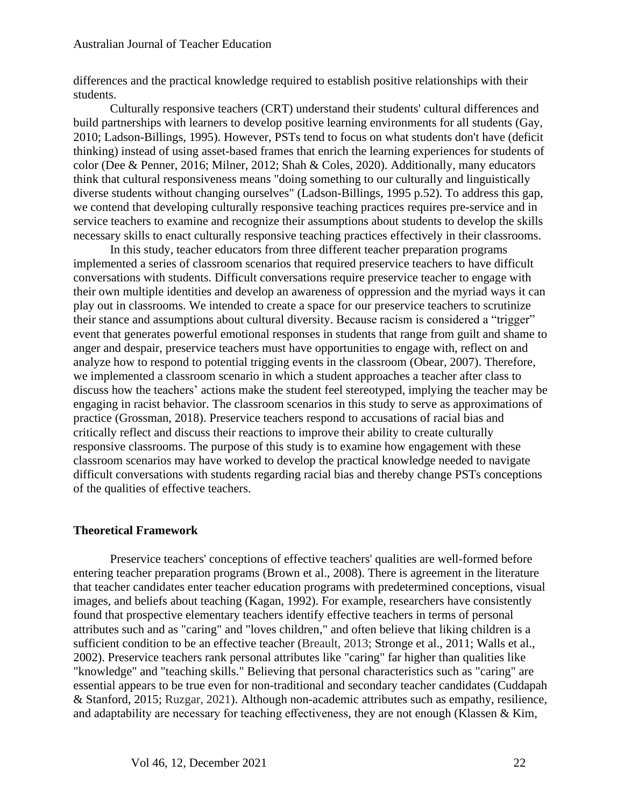differences and the practical knowledge required to establish positive relationships with their students.

Culturally responsive teachers (CRT) understand their students' cultural differences and build partnerships with learners to develop positive learning environments for all students (Gay, 2010; Ladson-Billings, 1995). However, PSTs tend to focus on what students don't have (deficit thinking) instead of using asset-based frames that enrich the learning experiences for students of color (Dee & Penner, 2016; Milner, 2012; Shah & Coles, 2020). Additionally, many educators think that cultural responsiveness means "doing something to our culturally and linguistically diverse students without changing ourselves" (Ladson-Billings, 1995 p.52). To address this gap, we contend that developing culturally responsive teaching practices requires pre-service and in service teachers to examine and recognize their assumptions about students to develop the skills necessary skills to enact culturally responsive teaching practices effectively in their classrooms.

In this study, teacher educators from three different teacher preparation programs implemented a series of classroom scenarios that required preservice teachers to have difficult conversations with students. Difficult conversations require preservice teacher to engage with their own multiple identities and develop an awareness of oppression and the myriad ways it can play out in classrooms. We intended to create a space for our preservice teachers to scrutinize their stance and assumptions about cultural diversity. Because racism is considered a "trigger" event that generates powerful emotional responses in students that range from guilt and shame to anger and despair, preservice teachers must have opportunities to engage with, reflect on and analyze how to respond to potential trigging events in the classroom (Obear, 2007). Therefore, we implemented a classroom scenario in which a student approaches a teacher after class to discuss how the teachers' actions make the student feel stereotyped, implying the teacher may be engaging in racist behavior. The classroom scenarios in this study to serve as approximations of practice (Grossman, 2018). Preservice teachers respond to accusations of racial bias and critically reflect and discuss their reactions to improve their ability to create culturally responsive classrooms. The purpose of this study is to examine how engagement with these classroom scenarios may have worked to develop the practical knowledge needed to navigate difficult conversations with students regarding racial bias and thereby change PSTs conceptions of the qualities of effective teachers.

## **Theoretical Framework**

Preservice teachers' conceptions of effective teachers' qualities are well-formed before entering teacher preparation programs (Brown et al., 2008). There is agreement in the literature that teacher candidates enter teacher education programs with predetermined conceptions, visual images, and beliefs about teaching (Kagan, 1992). For example, researchers have consistently found that prospective elementary teachers identify effective teachers in terms of personal attributes such and as "caring" and "loves children," and often believe that liking children is a sufficient condition to be an effective teacher (Breault, 2013; Stronge et al., 2011; Walls et al., 2002). Preservice teachers rank personal attributes like "caring" far higher than qualities like "knowledge" and "teaching skills." Believing that personal characteristics such as "caring" are essential appears to be true even for non-traditional and secondary teacher candidates (Cuddapah & Stanford, 2015; Ruzgar, 2021). Although non-academic attributes such as empathy, resilience, and adaptability are necessary for teaching effectiveness, they are not enough (Klassen & Kim,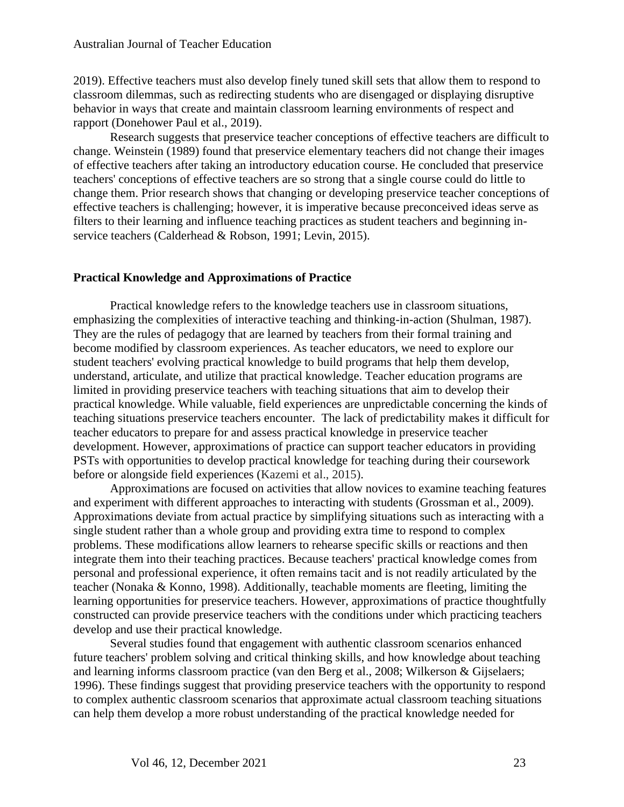2019). Effective teachers must also develop finely tuned skill sets that allow them to respond to classroom dilemmas, such as redirecting students who are disengaged or displaying disruptive behavior in ways that create and maintain classroom learning environments of respect and rapport (Donehower Paul et al., 2019).

Research suggests that preservice teacher conceptions of effective teachers are difficult to change. Weinstein (1989) found that preservice elementary teachers did not change their images of effective teachers after taking an introductory education course. He concluded that preservice teachers' conceptions of effective teachers are so strong that a single course could do little to change them. Prior research shows that changing or developing preservice teacher conceptions of effective teachers is challenging; however, it is imperative because preconceived ideas serve as filters to their learning and influence teaching practices as student teachers and beginning inservice teachers (Calderhead & Robson, 1991; Levin, 2015).

## **Practical Knowledge and Approximations of Practice**

Practical knowledge refers to the knowledge teachers use in classroom situations, emphasizing the complexities of interactive teaching and thinking-in-action (Shulman, 1987). They are the rules of pedagogy that are learned by teachers from their formal training and become modified by classroom experiences. As teacher educators, we need to explore our student teachers' evolving practical knowledge to build programs that help them develop, understand, articulate, and utilize that practical knowledge. Teacher education programs are limited in providing preservice teachers with teaching situations that aim to develop their practical knowledge. While valuable, field experiences are unpredictable concerning the kinds of teaching situations preservice teachers encounter. The lack of predictability makes it difficult for teacher educators to prepare for and assess practical knowledge in preservice teacher development. However, approximations of practice can support teacher educators in providing PSTs with opportunities to develop practical knowledge for teaching during their coursework before or alongside field experiences (Kazemi et al., 2015).

Approximations are focused on activities that allow novices to examine teaching features and experiment with different approaches to interacting with students (Grossman et al., 2009). Approximations deviate from actual practice by simplifying situations such as interacting with a single student rather than a whole group and providing extra time to respond to complex problems. These modifications allow learners to rehearse specific skills or reactions and then integrate them into their teaching practices. Because teachers' practical knowledge comes from personal and professional experience, it often remains tacit and is not readily articulated by the teacher (Nonaka & Konno, 1998). Additionally, teachable moments are fleeting, limiting the learning opportunities for preservice teachers. However, approximations of practice thoughtfully constructed can provide preservice teachers with the conditions under which practicing teachers develop and use their practical knowledge.

Several studies found that engagement with authentic classroom scenarios enhanced future teachers' problem solving and critical thinking skills, and how knowledge about teaching and learning informs classroom practice (van den Berg et al., 2008; Wilkerson & Gijselaers; 1996). These findings suggest that providing preservice teachers with the opportunity to respond to complex authentic classroom scenarios that approximate actual classroom teaching situations can help them develop a more robust understanding of the practical knowledge needed for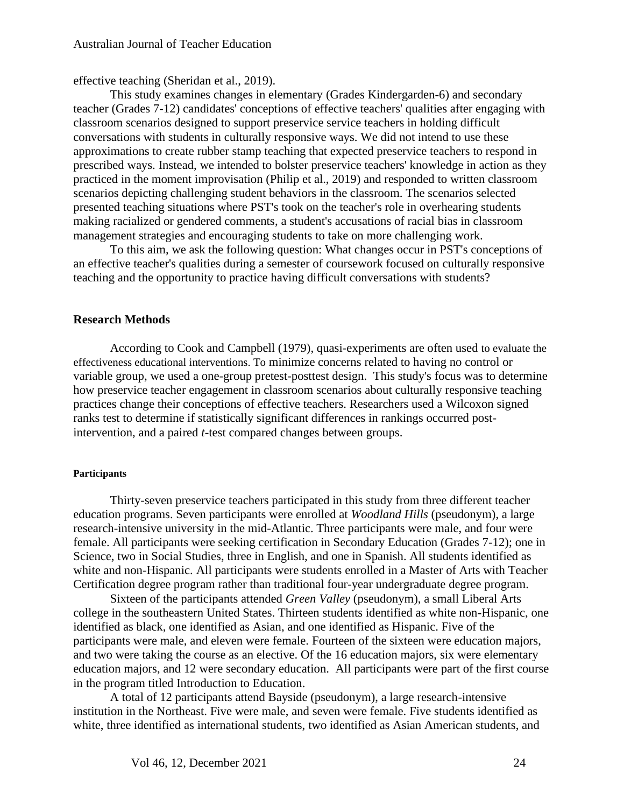effective teaching (Sheridan et al., 2019).

This study examines changes in elementary (Grades Kindergarden-6) and secondary teacher (Grades 7-12) candidates' conceptions of effective teachers' qualities after engaging with classroom scenarios designed to support preservice service teachers in holding difficult conversations with students in culturally responsive ways. We did not intend to use these approximations to create rubber stamp teaching that expected preservice teachers to respond in prescribed ways. Instead, we intended to bolster preservice teachers' knowledge in action as they practiced in the moment improvisation (Philip et al., 2019) and responded to written classroom scenarios depicting challenging student behaviors in the classroom. The scenarios selected presented teaching situations where PST's took on the teacher's role in overhearing students making racialized or gendered comments, a student's accusations of racial bias in classroom management strategies and encouraging students to take on more challenging work.

To this aim, we ask the following question: What changes occur in PST's conceptions of an effective teacher's qualities during a semester of coursework focused on culturally responsive teaching and the opportunity to practice having difficult conversations with students?

#### **Research Methods**

According to Cook and Campbell (1979), quasi-experiments are often used to evaluate the effectiveness educational interventions. To minimize concerns related to having no control or variable group, we used a one-group pretest-posttest design. This study's focus was to determine how preservice teacher engagement in classroom scenarios about culturally responsive teaching practices change their conceptions of effective teachers. Researchers used a Wilcoxon signed ranks test to determine if statistically significant differences in rankings occurred postintervention, and a paired *t*-test compared changes between groups.

#### **Participants**

Thirty-seven preservice teachers participated in this study from three different teacher education programs. Seven participants were enrolled at *Woodland Hills* (pseudonym), a large research-intensive university in the mid-Atlantic. Three participants were male, and four were female. All participants were seeking certification in Secondary Education (Grades 7-12); one in Science, two in Social Studies, three in English, and one in Spanish. All students identified as white and non-Hispanic. All participants were students enrolled in a Master of Arts with Teacher Certification degree program rather than traditional four-year undergraduate degree program.

Sixteen of the participants attended *Green Valley* (pseudonym), a small Liberal Arts college in the southeastern United States. Thirteen students identified as white non-Hispanic, one identified as black, one identified as Asian, and one identified as Hispanic. Five of the participants were male, and eleven were female. Fourteen of the sixteen were education majors, and two were taking the course as an elective. Of the 16 education majors, six were elementary education majors, and 12 were secondary education. All participants were part of the first course in the program titled Introduction to Education.

A total of 12 participants attend Bayside (pseudonym), a large research-intensive institution in the Northeast. Five were male, and seven were female. Five students identified as white, three identified as international students, two identified as Asian American students, and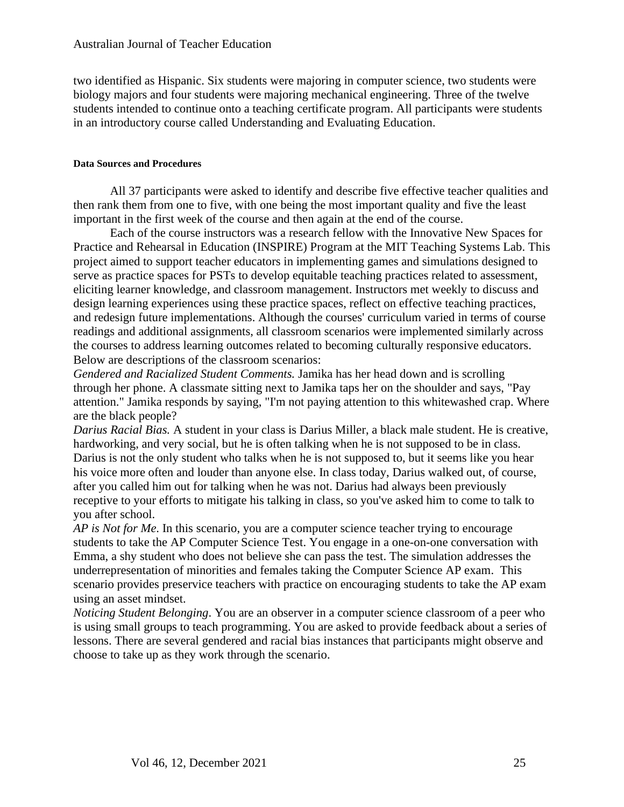two identified as Hispanic. Six students were majoring in computer science, two students were biology majors and four students were majoring mechanical engineering. Three of the twelve students intended to continue onto a teaching certificate program. All participants were students in an introductory course called Understanding and Evaluating Education.

#### **Data Sources and Procedures**

All 37 participants were asked to identify and describe five effective teacher qualities and then rank them from one to five, with one being the most important quality and five the least important in the first week of the course and then again at the end of the course.

Each of the course instructors was a research fellow with the Innovative New Spaces for Practice and Rehearsal in Education (INSPIRE) Program at the MIT Teaching Systems Lab. This project aimed to support teacher educators in implementing games and simulations designed to serve as practice spaces for PSTs to develop equitable teaching practices related to assessment, eliciting learner knowledge, and classroom management. Instructors met weekly to discuss and design learning experiences using these practice spaces, reflect on effective teaching practices, and redesign future implementations. Although the courses' curriculum varied in terms of course readings and additional assignments, all classroom scenarios were implemented similarly across the courses to address learning outcomes related to becoming culturally responsive educators. Below are descriptions of the classroom scenarios:

*Gendered and Racialized Student Comments.* Jamika has her head down and is scrolling through her phone. A classmate sitting next to Jamika taps her on the shoulder and says, "Pay attention." Jamika responds by saying, "I'm not paying attention to this whitewashed crap. Where are the black people?

*Darius Racial Bias.* A student in your class is Darius Miller, a black male student. He is creative, hardworking, and very social, but he is often talking when he is not supposed to be in class. Darius is not the only student who talks when he is not supposed to, but it seems like you hear his voice more often and louder than anyone else. In class today, Darius walked out, of course, after you called him out for talking when he was not. Darius had always been previously receptive to your efforts to mitigate his talking in class, so you've asked him to come to talk to you after school.

*AP is Not for Me*. In this scenario, you are a computer science teacher trying to encourage students to take the AP Computer Science Test. You engage in a one-on-one conversation with Emma, a shy student who does not believe she can pass the test. The simulation addresses the underrepresentation of minorities and females taking the Computer Science AP exam. This scenario provides preservice teachers with practice on encouraging students to take the AP exam using an asset mindset.

*Noticing Student Belonging*. You are an observer in a computer science classroom of a peer who is using small groups to teach programming. You are asked to provide feedback about a series of lessons. There are several gendered and racial bias instances that participants might observe and choose to take up as they work through the scenario.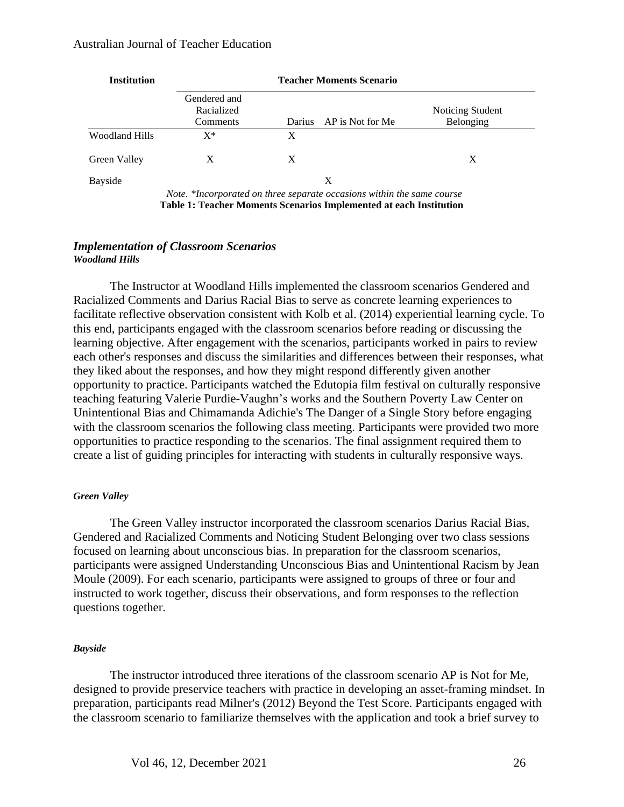#### Australian Journal of Teacher Education

| <b>Institution</b>    | <b>Teacher Moments Scenario</b>                                                                                                              |               |                  |                               |  |
|-----------------------|----------------------------------------------------------------------------------------------------------------------------------------------|---------------|------------------|-------------------------------|--|
|                       | Gendered and<br>Racialized<br>Comments                                                                                                       | <b>Darius</b> | AP is Not for Me | Noticing Student<br>Belonging |  |
| <b>Woodland Hills</b> | $X^*$                                                                                                                                        | X             |                  |                               |  |
| Green Valley          | X                                                                                                                                            | X             |                  | X                             |  |
| Bayside               | Note. *Incorporated on three separate occasions within the same course<br>Table 1: Teacher Moments Scenarios Implemented at each Institution |               | X                |                               |  |

#### *Implementation of Classroom Scenarios Woodland Hills*

The Instructor at Woodland Hills implemented the classroom scenarios Gendered and Racialized Comments and Darius Racial Bias to serve as concrete learning experiences to facilitate reflective observation consistent with Kolb et al. (2014) experiential learning cycle. To this end, participants engaged with the classroom scenarios before reading or discussing the learning objective. After engagement with the scenarios, participants worked in pairs to review each other's responses and discuss the similarities and differences between their responses, what they liked about the responses, and how they might respond differently given another opportunity to practice. Participants watched the Edutopia film festival on culturally responsive teaching featuring Valerie Purdie-Vaughn's works and the Southern Poverty Law Center on Unintentional Bias and Chimamanda Adichie's The Danger of a Single Story before engaging with the classroom scenarios the following class meeting. Participants were provided two more opportunities to practice responding to the scenarios. The final assignment required them to create a list of guiding principles for interacting with students in culturally responsive ways.

#### *Green Valley*

The Green Valley instructor incorporated the classroom scenarios Darius Racial Bias, Gendered and Racialized Comments and Noticing Student Belonging over two class sessions focused on learning about unconscious bias. In preparation for the classroom scenarios, participants were assigned Understanding Unconscious Bias and Unintentional Racism by Jean Moule (2009). For each scenario, participants were assigned to groups of three or four and instructed to work together, discuss their observations, and form responses to the reflection questions together.

#### *Bayside*

The instructor introduced three iterations of the classroom scenario AP is Not for Me, designed to provide preservice teachers with practice in developing an asset-framing mindset. In preparation, participants read Milner's (2012) Beyond the Test Score. Participants engaged with the classroom scenario to familiarize themselves with the application and took a brief survey to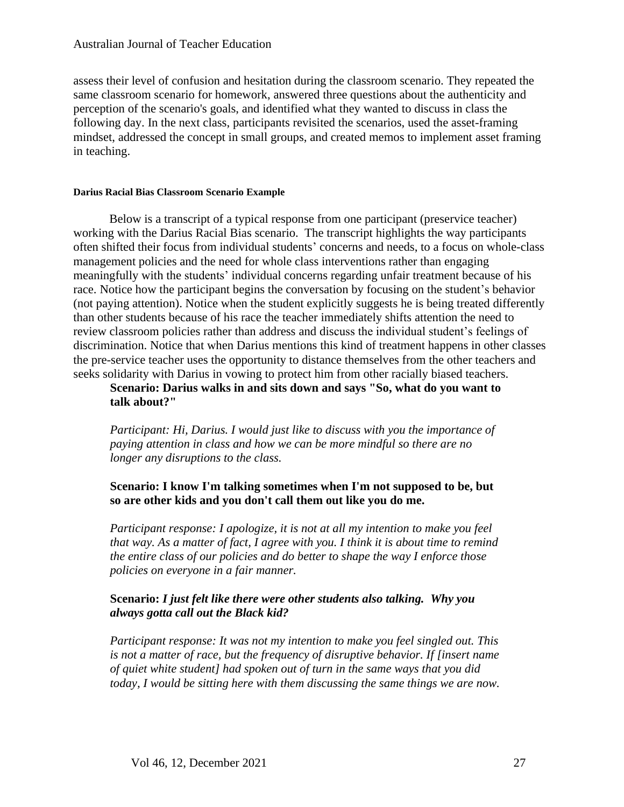assess their level of confusion and hesitation during the classroom scenario. They repeated the same classroom scenario for homework, answered three questions about the authenticity and perception of the scenario's goals, and identified what they wanted to discuss in class the following day. In the next class, participants revisited the scenarios, used the asset-framing mindset, addressed the concept in small groups, and created memos to implement asset framing in teaching.

#### **Darius Racial Bias Classroom Scenario Example**

Below is a transcript of a typical response from one participant (preservice teacher) working with the Darius Racial Bias scenario. The transcript highlights the way participants often shifted their focus from individual students' concerns and needs, to a focus on whole-class management policies and the need for whole class interventions rather than engaging meaningfully with the students' individual concerns regarding unfair treatment because of his race. Notice how the participant begins the conversation by focusing on the student's behavior (not paying attention). Notice when the student explicitly suggests he is being treated differently than other students because of his race the teacher immediately shifts attention the need to review classroom policies rather than address and discuss the individual student's feelings of discrimination. Notice that when Darius mentions this kind of treatment happens in other classes the pre-service teacher uses the opportunity to distance themselves from the other teachers and seeks solidarity with Darius in vowing to protect him from other racially biased teachers.

## **Scenario: Darius walks in and sits down and says "So, what do you want to talk about?"**

*Participant: Hi, Darius. I would just like to discuss with you the importance of paying attention in class and how we can be more mindful so there are no longer any disruptions to the class.*

## **Scenario: I know I'm talking sometimes when I'm not supposed to be, but so are other kids and you don't call them out like you do me.**

*Participant response: I apologize, it is not at all my intention to make you feel that way. As a matter of fact, I agree with you. I think it is about time to remind the entire class of our policies and do better to shape the way I enforce those policies on everyone in a fair manner.*

## **Scenario:** *I just felt like there were other students also talking. Why you always gotta call out the Black kid?*

*Participant response: It was not my intention to make you feel singled out. This is not a matter of race, but the frequency of disruptive behavior. If [insert name of quiet white student] had spoken out of turn in the same ways that you did today, I would be sitting here with them discussing the same things we are now.*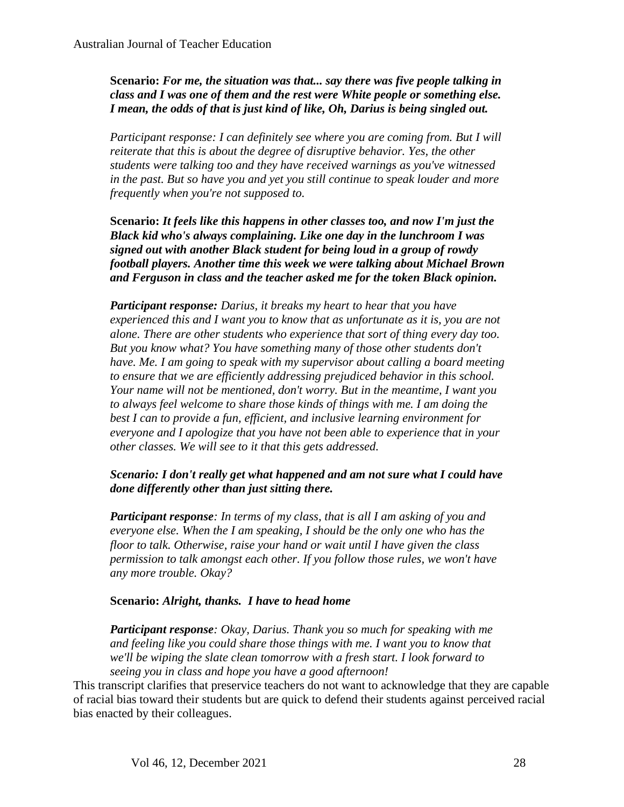**Scenario:** *For me, the situation was that... say there was five people talking in class and I was one of them and the rest were White people or something else. I mean, the odds of that is just kind of like, Oh, Darius is being singled out.*

*Participant response: I can definitely see where you are coming from. But I will reiterate that this is about the degree of disruptive behavior. Yes, the other students were talking too and they have received warnings as you've witnessed in the past. But so have you and yet you still continue to speak louder and more frequently when you're not supposed to.*

**Scenario:** *It feels like this happens in other classes too, and now I'm just the Black kid who's always complaining. Like one day in the lunchroom I was signed out with another Black student for being loud in a group of rowdy football players. Another time this week we were talking about Michael Brown and Ferguson in class and the teacher asked me for the token Black opinion.*

*Participant response: Darius, it breaks my heart to hear that you have experienced this and I want you to know that as unfortunate as it is, you are not alone. There are other students who experience that sort of thing every day too. But you know what? You have something many of those other students don't have. Me. I am going to speak with my supervisor about calling a board meeting to ensure that we are efficiently addressing prejudiced behavior in this school. Your name will not be mentioned, don't worry. But in the meantime, I want you to always feel welcome to share those kinds of things with me. I am doing the best I can to provide a fun, efficient, and inclusive learning environment for everyone and I apologize that you have not been able to experience that in your other classes. We will see to it that this gets addressed.*

## *Scenario: I don't really get what happened and am not sure what I could have done differently other than just sitting there.*

*Participant response: In terms of my class, that is all I am asking of you and everyone else. When the I am speaking, I should be the only one who has the floor to talk. Otherwise, raise your hand or wait until I have given the class permission to talk amongst each other. If you follow those rules, we won't have any more trouble. Okay?*

## **Scenario:** *Alright, thanks. I have to head home*

*Participant response: Okay, Darius. Thank you so much for speaking with me and feeling like you could share those things with me. I want you to know that we'll be wiping the slate clean tomorrow with a fresh start. I look forward to seeing you in class and hope you have a good afternoon!*

This transcript clarifies that preservice teachers do not want to acknowledge that they are capable of racial bias toward their students but are quick to defend their students against perceived racial bias enacted by their colleagues.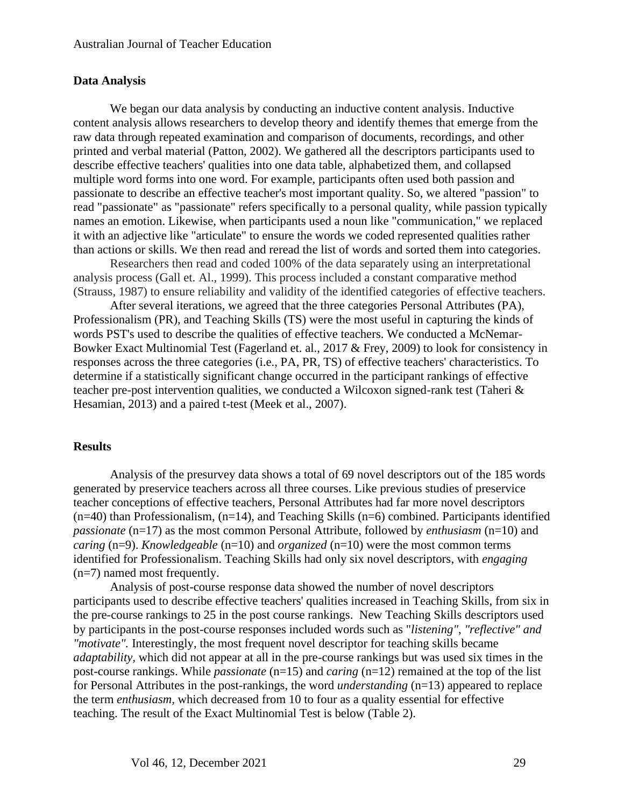#### **Data Analysis**

We began our data analysis by conducting an inductive content analysis. Inductive content analysis allows researchers to develop theory and identify themes that emerge from the raw data through repeated examination and comparison of documents, recordings, and other printed and verbal material (Patton, 2002). We gathered all the descriptors participants used to describe effective teachers' qualities into one data table, alphabetized them, and collapsed multiple word forms into one word. For example, participants often used both passion and passionate to describe an effective teacher's most important quality. So, we altered "passion" to read "passionate" as "passionate" refers specifically to a personal quality, while passion typically names an emotion. Likewise, when participants used a noun like "communication," we replaced it with an adjective like "articulate" to ensure the words we coded represented qualities rather than actions or skills. We then read and reread the list of words and sorted them into categories.

Researchers then read and coded 100% of the data separately using an interpretational analysis process (Gall et. Al., 1999). This process included a constant comparative method (Strauss, 1987) to ensure reliability and validity of the identified categories of effective teachers.

After several iterations, we agreed that the three categories Personal Attributes (PA), Professionalism (PR), and Teaching Skills (TS) were the most useful in capturing the kinds of words PST's used to describe the qualities of effective teachers. We conducted a McNemar-Bowker Exact Multinomial Test (Fagerland et. al., 2017 & Frey, 2009) to look for consistency in responses across the three categories (i.e., PA, PR, TS) of effective teachers' characteristics. To determine if a statistically significant change occurred in the participant rankings of effective teacher pre-post intervention qualities, we conducted a Wilcoxon signed-rank test (Taheri & Hesamian, 2013) and a paired t-test (Meek et al., 2007).

#### **Results**

Analysis of the presurvey data shows a total of 69 novel descriptors out of the 185 words generated by preservice teachers across all three courses. Like previous studies of preservice teacher conceptions of effective teachers, Personal Attributes had far more novel descriptors  $(n=40)$  than Professionalism,  $(n=14)$ , and Teaching Skills  $(n=6)$  combined. Participants identified *passionate* (n=17) as the most common Personal Attribute, followed by *enthusiasm* (n=10) and *caring* (n=9). *Knowledgeable* (n=10) and *organized* (n=10) were the most common terms identified for Professionalism. Teaching Skills had only six novel descriptors, with *engaging*  (n=7) named most frequently.

Analysis of post-course response data showed the number of novel descriptors participants used to describe effective teachers' qualities increased in Teaching Skills, from six in the pre-course rankings to 25 in the post course rankings. New Teaching Skills descriptors used by participants in the post-course responses included words such as "*listening"*, *"reflective" and "motivate".* Interestingly, the most frequent novel descriptor for teaching skills became *adaptability,* which did not appear at all in the pre-course rankings but was used six times in the post-course rankings. While *passionate* (n=15) and *caring* (n=12) remained at the top of the list for Personal Attributes in the post-rankings, the word *understanding* (n=13) appeared to replace the term *enthusiasm,* which decreased from 10 to four as a quality essential for effective teaching. The result of the Exact Multinomial Test is below (Table 2).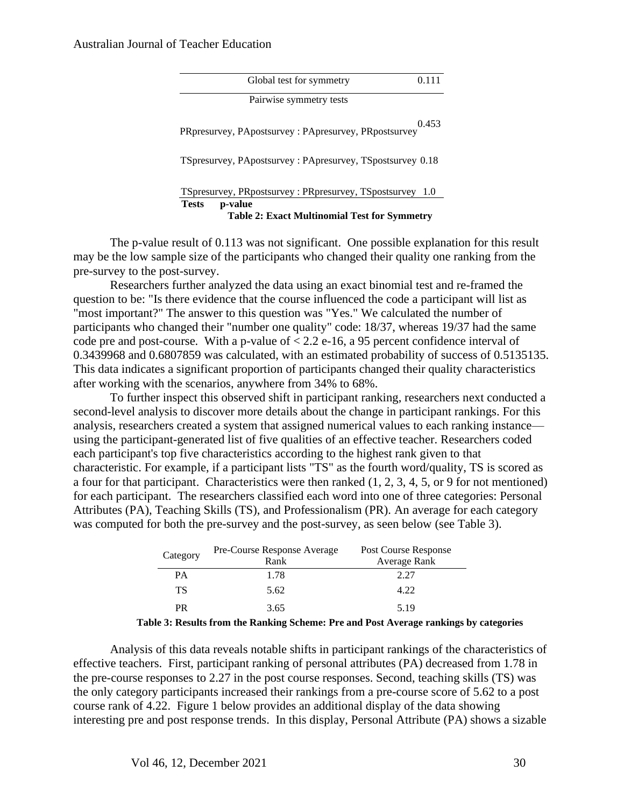#### Australian Journal of Teacher Education

|              | Global test for symmetry                                  | 0.111 |
|--------------|-----------------------------------------------------------|-------|
|              | Pairwise symmetry tests                                   |       |
|              | PRpresurvey, PApostsurvey: PApresurvey, PRpostsurvey      | 0.453 |
|              | TSpresurvey, PApostsurvey: PApresurvey, TSpostsurvey 0.18 |       |
|              | TSpresurvey, PRpostsurvey: PRpresurvey, TSpostsurvey 1.0  |       |
| <b>Tests</b> | p-value                                                   |       |
|              | <b>Table 2: Exact Multinomial Test for Symmetry</b>       |       |

The p-value result of 0.113 was not significant. One possible explanation for this result may be the low sample size of the participants who changed their quality one ranking from the pre-survey to the post-survey.

Researchers further analyzed the data using an exact binomial test and re-framed the question to be: "Is there evidence that the course influenced the code a participant will list as "most important?" The answer to this question was "Yes." We calculated the number of participants who changed their "number one quality" code: 18/37, whereas 19/37 had the same code pre and post-course. With a p-value of  $< 2.2$  e-16, a 95 percent confidence interval of 0.3439968 and 0.6807859 was calculated, with an estimated probability of success of 0.5135135. This data indicates a significant proportion of participants changed their quality characteristics after working with the scenarios, anywhere from 34% to 68%.

To further inspect this observed shift in participant ranking, researchers next conducted a second-level analysis to discover more details about the change in participant rankings. For this analysis, researchers created a system that assigned numerical values to each ranking instance using the participant-generated list of five qualities of an effective teacher. Researchers coded each participant's top five characteristics according to the highest rank given to that characteristic. For example, if a participant lists "TS" as the fourth word/quality, TS is scored as a four for that participant. Characteristics were then ranked (1, 2, 3, 4, 5, or 9 for not mentioned) for each participant. The researchers classified each word into one of three categories: Personal Attributes (PA), Teaching Skills (TS), and Professionalism (PR). An average for each category was computed for both the pre-survey and the post-survey, as seen below (see Table 3).

| Category | Pre-Course Response Average<br>Rank | Post Course Response<br>Average Rank |
|----------|-------------------------------------|--------------------------------------|
| PА       | 1.78                                | 2.27                                 |
| ТS       | 5.62                                | 4.22                                 |
| PR       | 3.65                                | 5.19                                 |

**Table 3: Results from the Ranking Scheme: Pre and Post Average rankings by categories**

Analysis of this data reveals notable shifts in participant rankings of the characteristics of effective teachers. First, participant ranking of personal attributes (PA) decreased from 1.78 in the pre-course responses to 2.27 in the post course responses. Second, teaching skills (TS) was the only category participants increased their rankings from a pre-course score of 5.62 to a post course rank of 4.22. Figure 1 below provides an additional display of the data showing interesting pre and post response trends. In this display, Personal Attribute (PA) shows a sizable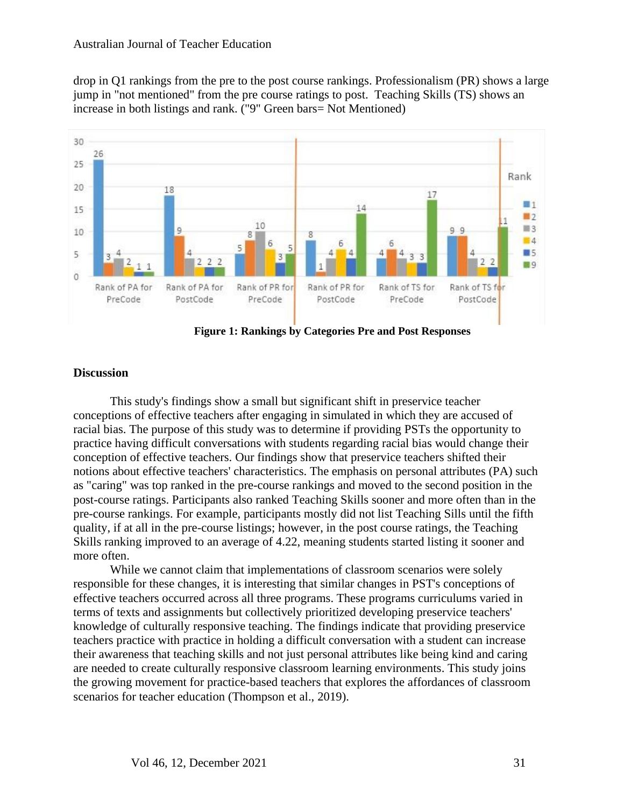drop in Q1 rankings from the pre to the post course rankings. Professionalism (PR) shows a large jump in "not mentioned" from the pre course ratings to post. Teaching Skills (TS) shows an increase in both listings and rank. ("9" Green bars= Not Mentioned)



**Figure 1: Rankings by Categories Pre and Post Responses**

## **Discussion**

This study's findings show a small but significant shift in preservice teacher conceptions of effective teachers after engaging in simulated in which they are accused of racial bias. The purpose of this study was to determine if providing PSTs the opportunity to practice having difficult conversations with students regarding racial bias would change their conception of effective teachers. Our findings show that preservice teachers shifted their notions about effective teachers' characteristics. The emphasis on personal attributes (PA) such as "caring" was top ranked in the pre-course rankings and moved to the second position in the post-course ratings. Participants also ranked Teaching Skills sooner and more often than in the pre-course rankings. For example, participants mostly did not list Teaching Sills until the fifth quality, if at all in the pre-course listings; however, in the post course ratings, the Teaching Skills ranking improved to an average of 4.22, meaning students started listing it sooner and more often.

While we cannot claim that implementations of classroom scenarios were solely responsible for these changes, it is interesting that similar changes in PST's conceptions of effective teachers occurred across all three programs. These programs curriculums varied in terms of texts and assignments but collectively prioritized developing preservice teachers' knowledge of culturally responsive teaching. The findings indicate that providing preservice teachers practice with practice in holding a difficult conversation with a student can increase their awareness that teaching skills and not just personal attributes like being kind and caring are needed to create culturally responsive classroom learning environments. This study joins the growing movement for practice-based teachers that explores the affordances of classroom scenarios for teacher education (Thompson et al., 2019).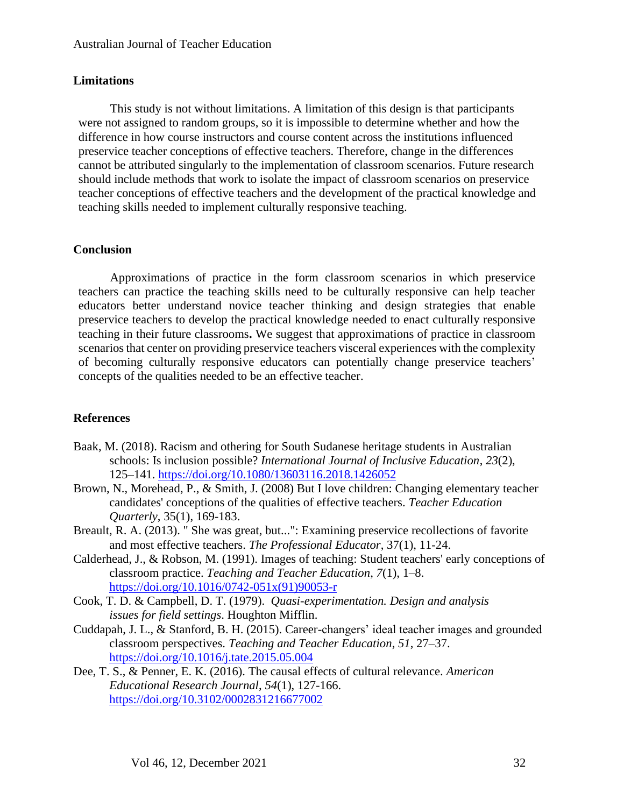## **Limitations**

This study is not without limitations. A limitation of this design is that participants were not assigned to random groups, so it is impossible to determine whether and how the difference in how course instructors and course content across the institutions influenced preservice teacher conceptions of effective teachers. Therefore, change in the differences cannot be attributed singularly to the implementation of classroom scenarios. Future research should include methods that work to isolate the impact of classroom scenarios on preservice teacher conceptions of effective teachers and the development of the practical knowledge and teaching skills needed to implement culturally responsive teaching.

## **Conclusion**

Approximations of practice in the form classroom scenarios in which preservice teachers can practice the teaching skills need to be culturally responsive can help teacher educators better understand novice teacher thinking and design strategies that enable preservice teachers to develop the practical knowledge needed to enact culturally responsive teaching in their future classrooms**.** We suggest that approximations of practice in classroom scenarios that center on providing preservice teachers visceral experiences with the complexity of becoming culturally responsive educators can potentially change preservice teachers' concepts of the qualities needed to be an effective teacher.

## **References**

- Baak, M. (2018). Racism and othering for South Sudanese heritage students in Australian schools: Is inclusion possible? *International Journal of Inclusive Education*, *23*(2), 125–141.<https://doi.org/10.1080/13603116.2018.1426052>
- Brown, N., Morehead, P., & Smith, J. (2008) But I love children: Changing elementary teacher candidates' conceptions of the qualities of effective teachers. *Teacher Education Quarterly*, 35(1), 169-183.
- Breault, R. A. (2013). " She was great, but...": Examining preservice recollections of favorite and most effective teachers. *The Professional Educator*, 37(1), 11-24.
- Calderhead, J., & Robson, M. (1991). Images of teaching: Student teachers' early conceptions of classroom practice. *Teaching and Teacher Education*, *7*(1), 1–8. [https://doi.org/10.1016/0742-051x\(91\)90053-r](https://doi.org/10.1016/0742-051x(91)90053-r)
- Cook, T. D. & Campbell, D. T. (1979). *Quasi-experimentation. Design and analysis issues for field settings*. Houghton Mifflin.
- Cuddapah, J. L., & Stanford, B. H. (2015). Career-changers' ideal teacher images and grounded classroom perspectives. *Teaching and Teacher Education*, *51*, 27–37. <https://doi.org/10.1016/j.tate.2015.05.004>
- Dee, T. S., & Penner, E. K. (2016). The causal effects of cultural relevance. *American Educational Research Journal*, *54*(1), 127-166. <https://doi.org/10.3102/0002831216677002>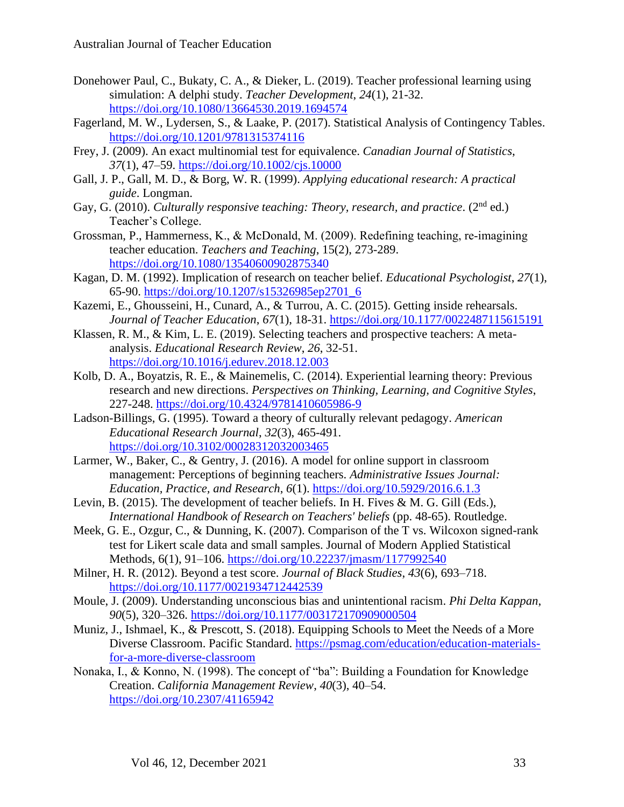- Donehower Paul, C., Bukaty, C. A., & Dieker, L. (2019). Teacher professional learning using simulation: A delphi study. *Teacher Development*, *24*(1), 21-32. <https://doi.org/10.1080/13664530.2019.1694574>
- Fagerland, M. W., Lydersen, S., & Laake, P. (2017). Statistical Analysis of Contingency Tables. <https://doi.org/10.1201/9781315374116>
- Frey, J. (2009). An exact multinomial test for equivalence. *Canadian Journal of Statistics*, *37*(1), 47–59.<https://doi.org/10.1002/cjs.10000>
- Gall, J. P., Gall, M. D., & Borg, W. R. (1999). *Applying educational research: A practical guide*. Longman.
- Gay, G. (2010). *Culturally responsive teaching: Theory, research, and practice.* (2<sup>nd</sup> ed.) Teacher's College.
- Grossman, P., Hammerness, K., & McDonald, M. (2009). Redefining teaching, re‐imagining teacher education. *Teachers and Teaching*, 15(2), 273-289. <https://doi.org/10.1080/13540600902875340>
- Kagan, D. M. (1992). Implication of research on teacher belief. *Educational Psychologist*, *27*(1), 65-90. [https://doi.org/10.1207/s15326985ep2701\\_6](https://doi.org/10.1207/s15326985ep2701_6)
- Kazemi, E., Ghousseini, H., Cunard, A., & Turrou, A. C. (2015). Getting inside rehearsals. *Journal of Teacher Education*, *67*(1), 18-31.<https://doi.org/10.1177/0022487115615191>
- Klassen, R. M., & Kim, L. E. (2019). Selecting teachers and prospective teachers: A metaanalysis. *Educational Research Review*, *26*, 32-51. <https://doi.org/10.1016/j.edurev.2018.12.003>
- Kolb, D. A., Boyatzis, R. E., & Mainemelis, C. (2014). Experiential learning theory: Previous research and new directions. *Perspectives on Thinking, Learning, and Cognitive Styles*, 227-248.<https://doi.org/10.4324/9781410605986-9>
- Ladson-Billings, G. (1995). Toward a theory of culturally relevant pedagogy. *American Educational Research Journal*, *32*(3), 465-491. <https://doi.org/10.3102/00028312032003465>
- Larmer, W., Baker, C., & Gentry, J. (2016). A model for online support in classroom management: Perceptions of beginning teachers. *Administrative Issues Journal: Education, Practice, and Research*, *6*(1).<https://doi.org/10.5929/2016.6.1.3>
- Levin, B. (2015). The development of teacher beliefs. In H. Fives & M. G. Gill (Eds.), *International Handbook of Research on Teachers' beliefs* (pp. 48-65). Routledge.
- Meek, G. E., Ozgur, C., & Dunning, K. (2007). Comparison of the T vs. Wilcoxon signed-rank test for Likert scale data and small samples. Journal of Modern Applied Statistical Methods, 6(1), 91–106.<https://doi.org/10.22237/jmasm/1177992540>
- Milner, H. R. (2012). Beyond a test score. *Journal of Black Studies*, *43*(6), 693–718. <https://doi.org/10.1177/0021934712442539>
- Moule, J. (2009). Understanding unconscious bias and unintentional racism. *Phi Delta Kappan*, *90*(5), 320–326.<https://doi.org/10.1177/003172170909000504>
- Muniz, J., Ishmael, K., & Prescott, S. (2018). Equipping Schools to Meet the Needs of a More Diverse Classroom. Pacific Standard. [https://psmag.com/education/education-materials](https://psmag.com/education/education-materials-for-a-more-diverse-classroom)[for-a-more-diverse-classroom](https://psmag.com/education/education-materials-for-a-more-diverse-classroom)
- Nonaka, I., & Konno, N. (1998). The concept of "ba": Building a Foundation for Knowledge Creation. *California Management Review*, *40*(3), 40–54. <https://doi.org/10.2307/41165942>